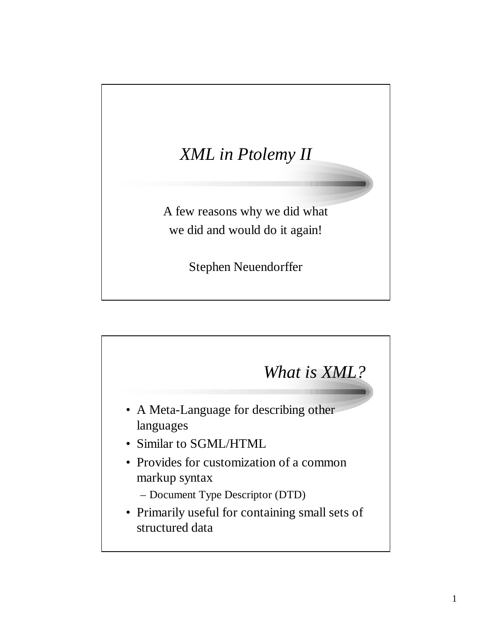## *XML in Ptolemy II*

A few reasons why we did what we did and would do it again!

Stephen Neuendorffer

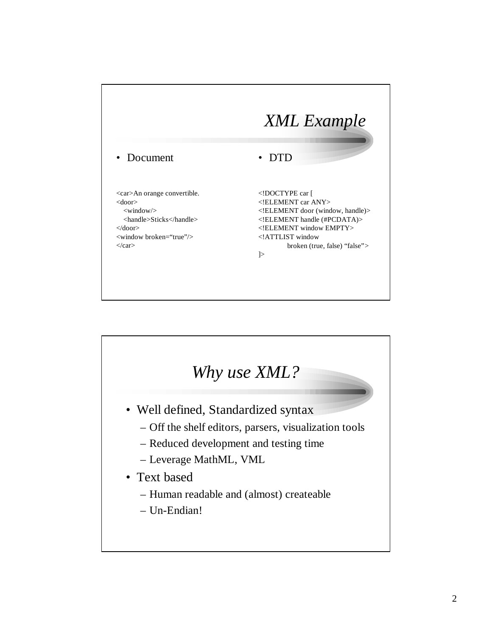

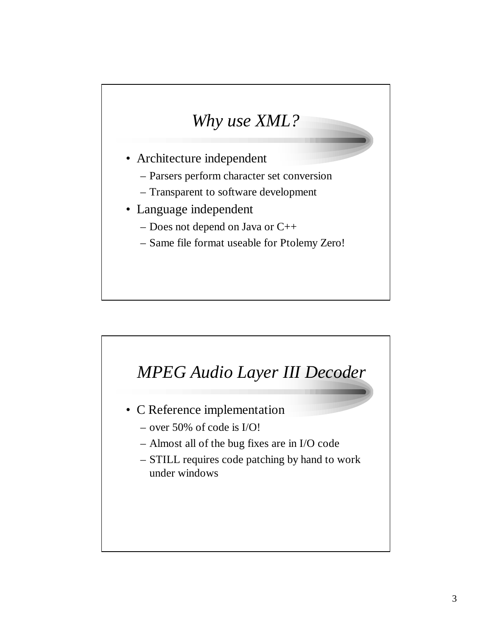## *Why use XML?*

- Architecture independent
	- Parsers perform character set conversion
	- Transparent to software development
- Language independent
	- Does not depend on Java or C++
	- Same file format useable for Ptolemy Zero!

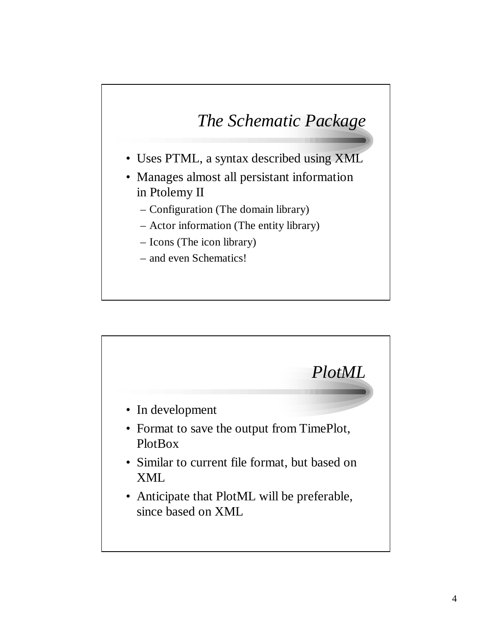## *The Schematic Package*

- Uses PTML, a syntax described using XML
- Manages almost all persistant information in Ptolemy II
	- Configuration (The domain library)
	- Actor information (The entity library)
	- Icons (The icon library)
	- and even Schematics!